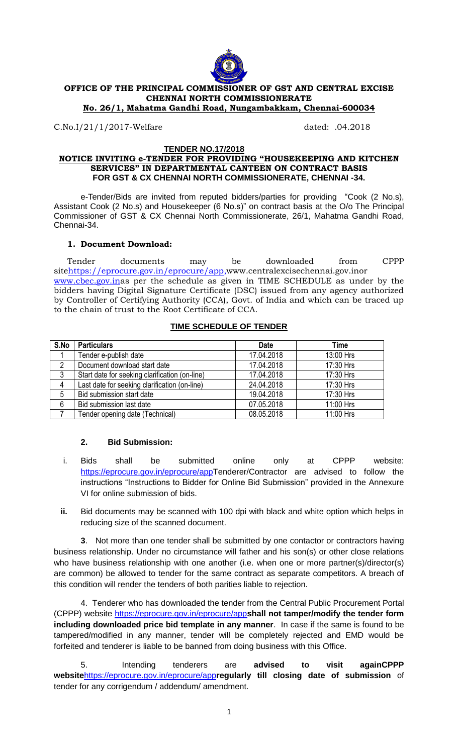

# **OFFICE OF THE PRINCIPAL COMMISSIONER OF GST AND CENTRAL EXCISE CHENNAI NORTH COMMISSIONERATE**

## **No. 26/1, Mahatma Gandhi Road, Nungambakkam, Chennai-600034**

C.No.I/21/1/2017-Welfare dated: .04.2018

#### **TENDER NO.17/2018**

#### **NOTICE INVITING e-TENDER FOR PROVIDING "HOUSEKEEPING AND KITCHEN SERVICES" IN DEPARTMENTAL CANTEEN ON CONTRACT BASIS FOR GST & CX CHENNAI NORTH COMMISSIONERATE, CHENNAI -34.**

e-Tender/Bids are invited from reputed bidders/parties for providing "Cook (2 No.s), Assistant Cook (2 No.s) and Housekeeper (6 No.s)" on contract basis at the O/o The Principal Commissioner of GST & CX Chennai North Commissionerate, 26/1, Mahatma Gandhi Road, Chennai-34.

### **1. Document Download:**

Tender documents may be downloaded from CPPP sit[ehttps://eprocure.gov.in/eprocure/app](https://eprocure.gov.in/eprocure/app)[,www.centralexcisechennai.gov.ino](http://www.centralexcisechennai.gov.in/)r [www.cbec.gov.ina](http://www.cbec.gov.in/)s per the schedule as given in TIME SCHEDULE as under by the bidders having Digital Signature Certificate (DSC) issued from any agency authorized by Controller of Certifying Authority (CCA), Govt. of India and which can be traced up to the chain of trust to the Root Certificate of CCA.

# **TIME SCHEDULE OF TENDER**

| S.No            | <b>Particulars</b>                             | <b>Date</b> | <b>Time</b> |
|-----------------|------------------------------------------------|-------------|-------------|
|                 | Tender e-publish date                          | 17.04.2018  | 13:00 Hrs   |
| 2               | Document download start date                   | 17.04.2018  | 17:30 Hrs   |
| 3               | Start date for seeking clarification (on-line) | 17.04.2018  | 17:30 Hrs   |
| 4               | Last date for seeking clarification (on-line)  | 24.04.2018  | 17:30 Hrs   |
| $5\phantom{.0}$ | Bid submission start date                      | 19.04.2018  | 17:30 Hrs   |
| 6               | Bid submission last date                       | 07.05.2018  | 11:00 Hrs   |
|                 | Tender opening date (Technical)                | 08.05.2018  | 11:00 Hrs   |

# **2. Bid Submission:**

- i. Bids shall be submitted online only at CPPP website: [https://eprocure.gov.in/eprocure/appT](https://eprocure.gov.in/eprocure/app)enderer/Contractor are advised to follow the instructions "Instructions to Bidder for Online Bid Submission" provided in the Annexure VI for online submission of bids.
- **ii.** Bid documents may be scanned with 100 dpi with black and white option which helps in reducing size of the scanned document.

**3**. Not more than one tender shall be submitted by one contactor or contractors having business relationship. Under no circumstance will father and his son(s) or other close relations who have business relationship with one another (i.e. when one or more partner(s)/director(s) are common) be allowed to tender for the same contract as separate competitors. A breach of this condition will render the tenders of both parities liable to rejection.

4. Tenderer who has downloaded the tender from the Central Public Procurement Portal (CPPP) website<https://eprocure.gov.in/eprocure/app>**shall not tamper/modify the tender form including downloaded price bid template in any manner**. In case if the same is found to be tampered/modified in any manner, tender will be completely rejected and EMD would be forfeited and tenderer is liable to be banned from doing business with this Office.

5. Intending tenderers are **advised to visit againCPPP website**<https://eprocure.gov.in/eprocure/app>**regularly till closing date of submission** of tender for any corrigendum / addendum/ amendment.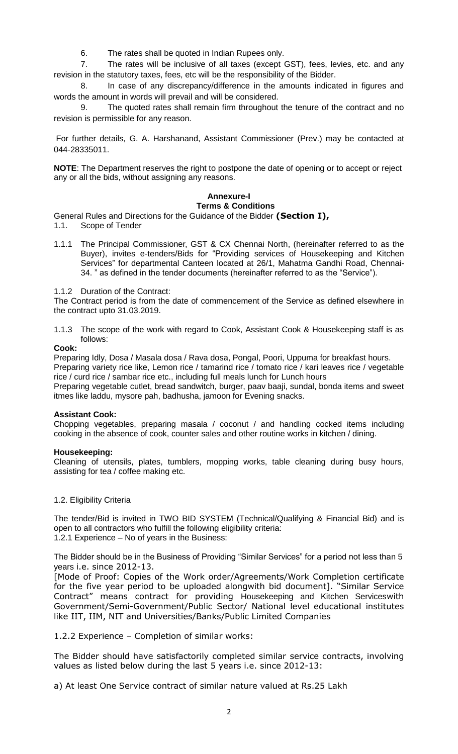6. The rates shall be quoted in Indian Rupees only.

7. The rates will be inclusive of all taxes (except GST), fees, levies, etc. and any revision in the statutory taxes, fees, etc will be the responsibility of the Bidder.

8. In case of any discrepancy/difference in the amounts indicated in figures and words the amount in words will prevail and will be considered.

9. The quoted rates shall remain firm throughout the tenure of the contract and no revision is permissible for any reason.

For further details, G. A. Harshanand, Assistant Commissioner (Prev.) may be contacted at 044-28335011.

**NOTE**: The Department reserves the right to postpone the date of opening or to accept or reject any or all the bids, without assigning any reasons.

### **Annexure-I Terms & Conditions**

General Rules and Directions for the Guidance of the Bidder **(Section I),**

- 1.1. Scope of Tender
- 1.1.1 The Principal Commissioner, GST & CX Chennai North, (hereinafter referred to as the Buyer), invites e-tenders/Bids for "Providing services of Housekeeping and Kitchen Services" for departmental Canteen located at 26/1, Mahatma Gandhi Road, Chennai-34. " as defined in the tender documents (hereinafter referred to as the "Service").

1.1.2 Duration of the Contract:

The Contract period is from the date of commencement of the Service as defined elsewhere in the contract upto 31.03.2019.

1.1.3 The scope of the work with regard to Cook, Assistant Cook & Housekeeping staff is as follows:

#### **Cook:**

Preparing Idly, Dosa / Masala dosa / Rava dosa, Pongal, Poori, Uppuma for breakfast hours. Preparing variety rice like, Lemon rice / tamarind rice / tomato rice / kari leaves rice / vegetable rice / curd rice / sambar rice etc., including full meals lunch for Lunch hours

Preparing vegetable cutlet, bread sandwitch, burger, paav baaji, sundal, bonda items and sweet itmes like laddu, mysore pah, badhusha, jamoon for Evening snacks.

### **Assistant Cook:**

Chopping vegetables, preparing masala / coconut / and handling cocked items including cooking in the absence of cook, counter sales and other routine works in kitchen / dining.

#### **Housekeeping:**

Cleaning of utensils, plates, tumblers, mopping works, table cleaning during busy hours, assisting for tea / coffee making etc.

### 1.2. Eligibility Criteria

The tender/Bid is invited in TWO BID SYSTEM (Technical/Qualifying & Financial Bid) and is open to all contractors who fulfill the following eligibility criteria: 1.2.1 Experience – No of years in the Business:

The Bidder should be in the Business of Providing "Similar Services" for a period not less than 5 years i.e. since 2012-13.

[Mode of Proof: Copies of the Work order/Agreements/Work Completion certificate for the five year period to be uploaded alongwith bid document]. "Similar Service Contract" means contract for providing Housekeeping and Kitchen Serviceswith Government/Semi-Government/Public Sector/ National level educational institutes like IIT, IIM, NIT and Universities/Banks/Public Limited Companies

1.2.2 Experience – Completion of similar works:

The Bidder should have satisfactorily completed similar service contracts, involving values as listed below during the last 5 years i.e. since 2012-13:

a) At least One Service contract of similar nature valued at Rs.25 Lakh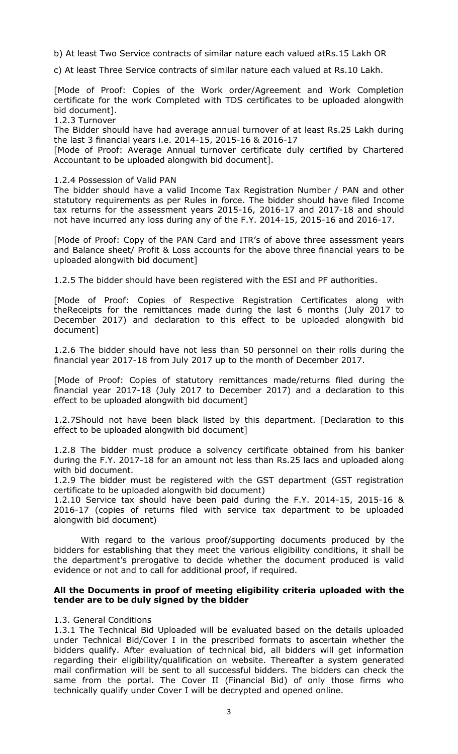b) At least Two Service contracts of similar nature each valued atRs.15 Lakh OR

c) At least Three Service contracts of similar nature each valued at Rs.10 Lakh.

[Mode of Proof: Copies of the Work order/Agreement and Work Completion certificate for the work Completed with TDS certificates to be uploaded alongwith bid document].

1.2.3 Turnover

The Bidder should have had average annual turnover of at least Rs.25 Lakh during the last 3 financial years i.e. 2014-15, 2015-16 & 2016-17

[Mode of Proof: Average Annual turnover certificate duly certified by Chartered Accountant to be uploaded alongwith bid document].

#### 1.2.4 Possession of Valid PAN

The bidder should have a valid Income Tax Registration Number / PAN and other statutory requirements as per Rules in force. The bidder should have filed Income tax returns for the assessment years 2015-16, 2016-17 and 2017-18 and should not have incurred any loss during any of the F.Y. 2014-15, 2015-16 and 2016-17.

[Mode of Proof: Copy of the PAN Card and ITR's of above three assessment years and Balance sheet/ Profit & Loss accounts for the above three financial years to be uploaded alongwith bid document]

1.2.5 The bidder should have been registered with the ESI and PF authorities.

[Mode of Proof: Copies of Respective Registration Certificates along with theReceipts for the remittances made during the last 6 months (July 2017 to December 2017) and declaration to this effect to be uploaded alongwith bid document]

1.2.6 The bidder should have not less than 50 personnel on their rolls during the financial year 2017-18 from July 2017 up to the month of December 2017.

[Mode of Proof: Copies of statutory remittances made/returns filed during the financial year 2017-18 (July 2017 to December 2017) and a declaration to this effect to be uploaded alongwith bid document]

1.2.7Should not have been black listed by this department. [Declaration to this effect to be uploaded alongwith bid document]

1.2.8 The bidder must produce a solvency certificate obtained from his banker during the F.Y. 2017-18 for an amount not less than Rs.25 lacs and uploaded along with bid document.

1.2.9 The bidder must be registered with the GST department (GST registration certificate to be uploaded alongwith bid document)

1.2.10 Service tax should have been paid during the F.Y. 2014-15, 2015-16 & 2016-17 (copies of returns filed with service tax department to be uploaded alongwith bid document)

With regard to the various proof/supporting documents produced by the bidders for establishing that they meet the various eligibility conditions, it shall be the department's prerogative to decide whether the document produced is valid evidence or not and to call for additional proof, if required.

### **All the Documents in proof of meeting eligibility criteria uploaded with the tender are to be duly signed by the bidder**

### 1.3. General Conditions

1.3.1 The Technical Bid Uploaded will be evaluated based on the details uploaded under Technical Bid/Cover I in the prescribed formats to ascertain whether the bidders qualify. After evaluation of technical bid, all bidders will get information regarding their eligibility/qualification on website. Thereafter a system generated mail confirmation will be sent to all successful bidders. The bidders can check the same from the portal. The Cover II (Financial Bid) of only those firms who technically qualify under Cover I will be decrypted and opened online.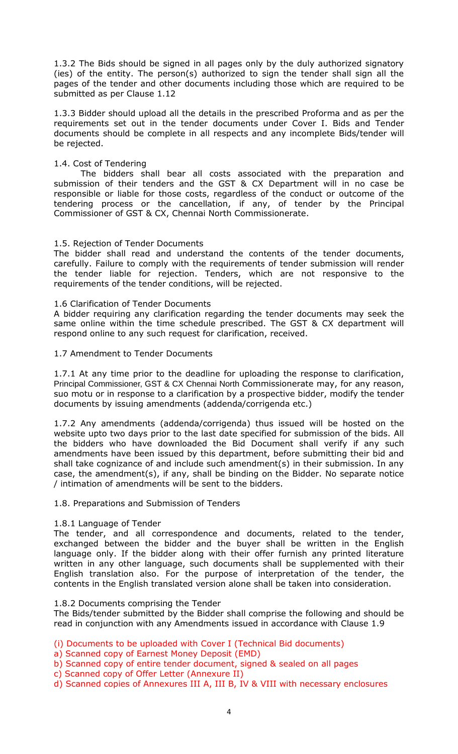1.3.2 The Bids should be signed in all pages only by the duly authorized signatory (ies) of the entity. The person(s) authorized to sign the tender shall sign all the pages of the tender and other documents including those which are required to be submitted as per Clause 1.12

1.3.3 Bidder should upload all the details in the prescribed Proforma and as per the requirements set out in the tender documents under Cover I. Bids and Tender documents should be complete in all respects and any incomplete Bids/tender will be rejected.

### 1.4. Cost of Tendering

The bidders shall bear all costs associated with the preparation and submission of their tenders and the GST & CX Department will in no case be responsible or liable for those costs, regardless of the conduct or outcome of the tendering process or the cancellation, if any, of tender by the Principal Commissioner of GST & CX, Chennai North Commissionerate.

## 1.5. Rejection of Tender Documents

The bidder shall read and understand the contents of the tender documents, carefully. Failure to comply with the requirements of tender submission will render the tender liable for rejection. Tenders, which are not responsive to the requirements of the tender conditions, will be rejected.

### 1.6 Clarification of Tender Documents

A bidder requiring any clarification regarding the tender documents may seek the same online within the time schedule prescribed. The GST & CX department will respond online to any such request for clarification, received.

### 1.7 Amendment to Tender Documents

1.7.1 At any time prior to the deadline for uploading the response to clarification, Principal Commissioner, GST & CX Chennai North Commissionerate may, for any reason, suo motu or in response to a clarification by a prospective bidder, modify the tender documents by issuing amendments (addenda/corrigenda etc.)

1.7.2 Any amendments (addenda/corrigenda) thus issued will be hosted on the website upto two days prior to the last date specified for submission of the bids. All the bidders who have downloaded the Bid Document shall verify if any such amendments have been issued by this department, before submitting their bid and shall take cognizance of and include such amendment(s) in their submission. In any case, the amendment(s), if any, shall be binding on the Bidder. No separate notice / intimation of amendments will be sent to the bidders.

1.8. Preparations and Submission of Tenders

### 1.8.1 Language of Tender

The tender, and all correspondence and documents, related to the tender, exchanged between the bidder and the buyer shall be written in the English language only. If the bidder along with their offer furnish any printed literature written in any other language, such documents shall be supplemented with their English translation also. For the purpose of interpretation of the tender, the contents in the English translated version alone shall be taken into consideration.

### 1.8.2 Documents comprising the Tender

The Bids/tender submitted by the Bidder shall comprise the following and should be read in conjunction with any Amendments issued in accordance with Clause 1.9

- (i) Documents to be uploaded with Cover I (Technical Bid documents)
- a) Scanned copy of Earnest Money Deposit (EMD)
- b) Scanned copy of entire tender document, signed & sealed on all pages
- c) Scanned copy of Offer Letter (Annexure II)
- d) Scanned copies of Annexures III A, III B, IV & VIII with necessary enclosures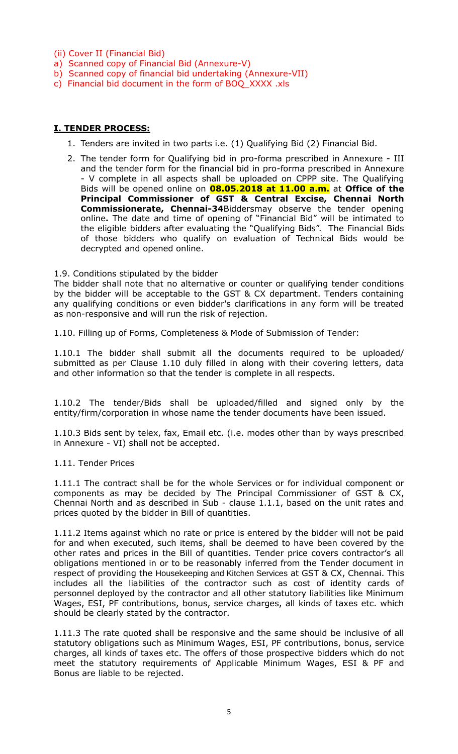(ii) Cover II (Financial Bid)

- a) Scanned copy of Financial Bid (Annexure-V)
- b) Scanned copy of financial bid undertaking (Annexure-VII)
- c) Financial bid document in the form of BOQ\_XXXX .xls

## **I. TENDER PROCESS:**

- 1. Tenders are invited in two parts i.e. (1) Qualifying Bid (2) Financial Bid.
- 2. The tender form for Qualifying bid in pro-forma prescribed in Annexure III and the tender form for the financial bid in pro-forma prescribed in Annexure - V complete in all aspects shall be uploaded on CPPP site. The Qualifying Bids will be opened online on **08.05.2018 at 11.00 a.m.** at **Office of the Principal Commissioner of GST & Central Excise, Chennai North Commissionerate, Chennai-34**Biddersmay observe the tender opening online**.** The date and time of opening of "Financial Bid" will be intimated to the eligible bidders after evaluating the "Qualifying Bids". The Financial Bids of those bidders who qualify on evaluation of Technical Bids would be decrypted and opened online.

### 1.9. Conditions stipulated by the bidder

The bidder shall note that no alternative or counter or qualifying tender conditions by the bidder will be acceptable to the GST & CX department. Tenders containing any qualifying conditions or even bidder's clarifications in any form will be treated as non-responsive and will run the risk of rejection.

1.10. Filling up of Forms, Completeness & Mode of Submission of Tender:

1.10.1 The bidder shall submit all the documents required to be uploaded/ submitted as per Clause 1.10 duly filled in along with their covering letters, data and other information so that the tender is complete in all respects.

1.10.2 The tender/Bids shall be uploaded/filled and signed only by the entity/firm/corporation in whose name the tender documents have been issued.

1.10.3 Bids sent by telex, fax, Email etc. (i.e. modes other than by ways prescribed in Annexure - VI) shall not be accepted.

### 1.11. Tender Prices

1.11.1 The contract shall be for the whole Services or for individual component or components as may be decided by The Principal Commissioner of GST & CX, Chennai North and as described in Sub - clause 1.1.1, based on the unit rates and prices quoted by the bidder in Bill of quantities.

1.11.2 Items against which no rate or price is entered by the bidder will not be paid for and when executed, such items, shall be deemed to have been covered by the other rates and prices in the Bill of quantities. Tender price covers contractor's all obligations mentioned in or to be reasonably inferred from the Tender document in respect of providing the Housekeeping and Kitchen Services at GST & CX, Chennai. This includes all the liabilities of the contractor such as cost of identity cards of personnel deployed by the contractor and all other statutory liabilities like Minimum Wages, ESI, PF contributions, bonus, service charges, all kinds of taxes etc. which should be clearly stated by the contractor.

1.11.3 The rate quoted shall be responsive and the same should be inclusive of all statutory obligations such as Minimum Wages, ESI, PF contributions, bonus, service charges, all kinds of taxes etc. The offers of those prospective bidders which do not meet the statutory requirements of Applicable Minimum Wages, ESI & PF and Bonus are liable to be rejected.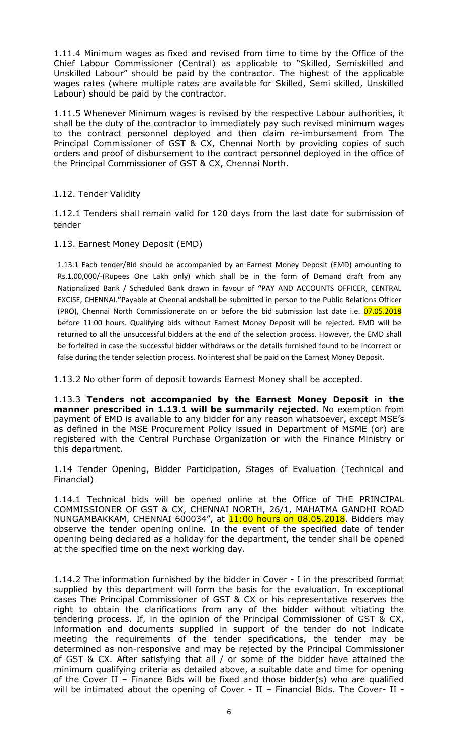1.11.4 Minimum wages as fixed and revised from time to time by the Office of the Chief Labour Commissioner (Central) as applicable to "Skilled, Semiskilled and Unskilled Labour" should be paid by the contractor. The highest of the applicable wages rates (where multiple rates are available for Skilled, Semi skilled, Unskilled Labour) should be paid by the contractor.

1.11.5 Whenever Minimum wages is revised by the respective Labour authorities, it shall be the duty of the contractor to immediately pay such revised minimum wages to the contract personnel deployed and then claim re-imbursement from The Principal Commissioner of GST & CX, Chennai North by providing copies of such orders and proof of disbursement to the contract personnel deployed in the office of the Principal Commissioner of GST & CX, Chennai North.

# 1.12. Tender Validity

1.12.1 Tenders shall remain valid for 120 days from the last date for submission of tender

# 1.13. Earnest Money Deposit (EMD)

1.13.1 Each tender/Bid should be accompanied by an Earnest Money Deposit (EMD) amounting to Rs.1,00,000/-(Rupees One Lakh only) which shall be in the form of Demand draft from any Nationalized Bank / Scheduled Bank drawn in favour of **"**PAY AND ACCOUNTS OFFICER, CENTRAL EXCISE, CHENNAI.**"**Payable at Chennai andshall be submitted in person to the Public Relations Officer (PRO), Chennai North Commissionerate on or before the bid submission last date i.e. 07.05.2018 before 11:00 hours. Qualifying bids without Earnest Money Deposit will be rejected. EMD will be returned to all the unsuccessful bidders at the end of the selection process. However, the EMD shall be forfeited in case the successful bidder withdraws or the details furnished found to be incorrect or false during the tender selection process. No interest shall be paid on the Earnest Money Deposit.

1.13.2 No other form of deposit towards Earnest Money shall be accepted.

1.13.3 **Tenders not accompanied by the Earnest Money Deposit in the manner prescribed in 1.13.1 will be summarily rejected.** No exemption from payment of EMD is available to any bidder for any reason whatsoever, except MSE's as defined in the MSE Procurement Policy issued in Department of MSME (or) are registered with the Central Purchase Organization or with the Finance Ministry or this department.

1.14 Tender Opening, Bidder Participation, Stages of Evaluation (Technical and Financial)

1.14.1 Technical bids will be opened online at the Office of THE PRINCIPAL COMMISSIONER OF GST & CX, CHENNAI NORTH, 26/1, MAHATMA GANDHI ROAD NUNGAMBAKKAM, CHENNAI 600034", at 11:00 hours on 08.05.2018. Bidders may observe the tender opening online. In the event of the specified date of tender opening being declared as a holiday for the department, the tender shall be opened at the specified time on the next working day.

1.14.2 The information furnished by the bidder in Cover - I in the prescribed format supplied by this department will form the basis for the evaluation. In exceptional cases The Principal Commissioner of GST & CX or his representative reserves the right to obtain the clarifications from any of the bidder without vitiating the tendering process. If, in the opinion of the Principal Commissioner of GST & CX, information and documents supplied in support of the tender do not indicate meeting the requirements of the tender specifications, the tender may be determined as non-responsive and may be rejected by the Principal Commissioner of GST & CX. After satisfying that all / or some of the bidder have attained the minimum qualifying criteria as detailed above, a suitable date and time for opening of the Cover II – Finance Bids will be fixed and those bidder(s) who are qualified will be intimated about the opening of Cover - II - Financial Bids. The Cover- II -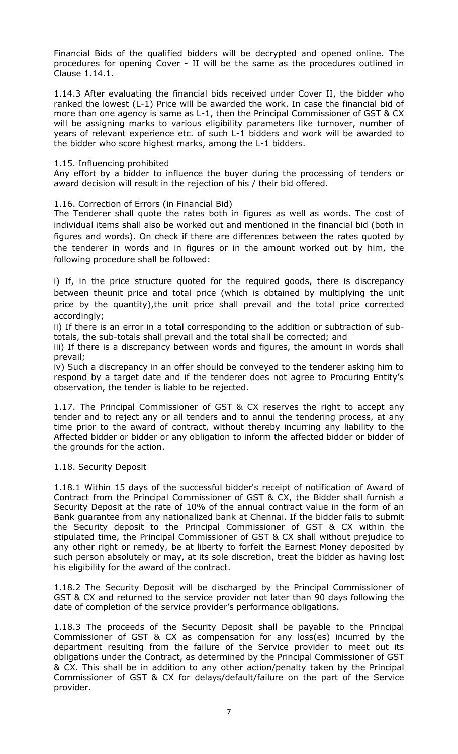Financial Bids of the qualified bidders will be decrypted and opened online. The procedures for opening Cover - II will be the same as the procedures outlined in Clause 1.14.1.

1.14.3 After evaluating the financial bids received under Cover II, the bidder who ranked the lowest (L-1) Price will be awarded the work. In case the financial bid of more than one agency is same as L-1, then the Principal Commissioner of GST & CX will be assigning marks to various eligibility parameters like turnover, number of years of relevant experience etc. of such L-1 bidders and work will be awarded to the bidder who score highest marks, among the L-1 bidders.

### 1.15. Influencing prohibited

Any effort by a bidder to influence the buyer during the processing of tenders or award decision will result in the rejection of his / their bid offered.

## 1.16. Correction of Errors (in Financial Bid)

The Tenderer shall quote the rates both in figures as well as words. The cost of individual items shall also be worked out and mentioned in the financial bid (both in figures and words). On check if there are differences between the rates quoted by the tenderer in words and in figures or in the amount worked out by him, the following procedure shall be followed:

i) If, in the price structure quoted for the required goods, there is discrepancy between theunit price and total price (which is obtained by multiplying the unit price by the quantity),the unit price shall prevail and the total price corrected accordingly;

ii) If there is an error in a total corresponding to the addition or subtraction of subtotals, the sub-totals shall prevail and the total shall be corrected; and

iii) If there is a discrepancy between words and figures, the amount in words shall prevail;

iv) Such a discrepancy in an offer should be conveyed to the tenderer asking him to respond by a target date and if the tenderer does not agree to Procuring Entity's observation, the tender is liable to be rejected.

1.17. The Principal Commissioner of GST & CX reserves the right to accept any tender and to reject any or all tenders and to annul the tendering process, at any time prior to the award of contract, without thereby incurring any liability to the Affected bidder or bidder or any obligation to inform the affected bidder or bidder of the grounds for the action.

### 1.18. Security Deposit

1.18.1 Within 15 days of the successful bidder's receipt of notification of Award of Contract from the Principal Commissioner of GST & CX, the Bidder shall furnish a Security Deposit at the rate of 10% of the annual contract value in the form of an Bank guarantee from any nationalized bank at Chennai. If the bidder fails to submit the Security deposit to the Principal Commissioner of GST & CX within the stipulated time, the Principal Commissioner of GST & CX shall without prejudice to any other right or remedy, be at liberty to forfeit the Earnest Money deposited by such person absolutely or may, at its sole discretion, treat the bidder as having lost his eligibility for the award of the contract.

1.18.2 The Security Deposit will be discharged by the Principal Commissioner of GST & CX and returned to the service provider not later than 90 days following the date of completion of the service provider's performance obligations.

1.18.3 The proceeds of the Security Deposit shall be payable to the Principal Commissioner of GST & CX as compensation for any loss(es) incurred by the department resulting from the failure of the Service provider to meet out its obligations under the Contract, as determined by the Principal Commissioner of GST & CX. This shall be in addition to any other action/penalty taken by the Principal Commissioner of GST & CX for delays/default/failure on the part of the Service provider.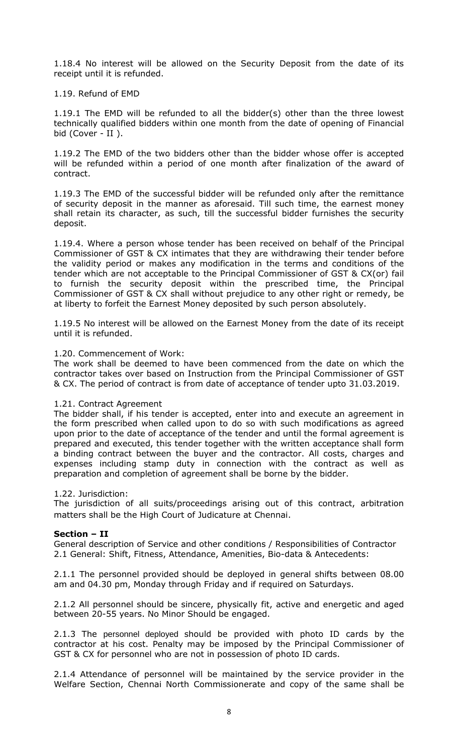1.18.4 No interest will be allowed on the Security Deposit from the date of its receipt until it is refunded.

#### 1.19. Refund of EMD

1.19.1 The EMD will be refunded to all the bidder(s) other than the three lowest technically qualified bidders within one month from the date of opening of Financial bid (Cover - II ).

1.19.2 The EMD of the two bidders other than the bidder whose offer is accepted will be refunded within a period of one month after finalization of the award of contract.

1.19.3 The EMD of the successful bidder will be refunded only after the remittance of security deposit in the manner as aforesaid. Till such time, the earnest money shall retain its character, as such, till the successful bidder furnishes the security deposit.

1.19.4. Where a person whose tender has been received on behalf of the Principal Commissioner of GST & CX intimates that they are withdrawing their tender before the validity period or makes any modification in the terms and conditions of the tender which are not acceptable to the Principal Commissioner of GST & CX(or) fail to furnish the security deposit within the prescribed time, the Principal Commissioner of GST & CX shall without prejudice to any other right or remedy, be at liberty to forfeit the Earnest Money deposited by such person absolutely.

1.19.5 No interest will be allowed on the Earnest Money from the date of its receipt until it is refunded.

#### 1.20. Commencement of Work:

The work shall be deemed to have been commenced from the date on which the contractor takes over based on Instruction from the Principal Commissioner of GST & CX. The period of contract is from date of acceptance of tender upto 31.03.2019.

#### 1.21. Contract Agreement

The bidder shall, if his tender is accepted, enter into and execute an agreement in the form prescribed when called upon to do so with such modifications as agreed upon prior to the date of acceptance of the tender and until the formal agreement is prepared and executed, this tender together with the written acceptance shall form a binding contract between the buyer and the contractor. All costs, charges and expenses including stamp duty in connection with the contract as well as preparation and completion of agreement shall be borne by the bidder.

#### 1.22. Jurisdiction:

The jurisdiction of all suits/proceedings arising out of this contract, arbitration matters shall be the High Court of Judicature at Chennai.

#### **Section – II**

General description of Service and other conditions / Responsibilities of Contractor 2.1 General: Shift, Fitness, Attendance, Amenities, Bio-data & Antecedents:

2.1.1 The personnel provided should be deployed in general shifts between 08.00 am and 04.30 pm, Monday through Friday and if required on Saturdays.

2.1.2 All personnel should be sincere, physically fit, active and energetic and aged between 20-55 years. No Minor Should be engaged.

2.1.3 The personnel deployed should be provided with photo ID cards by the contractor at his cost. Penalty may be imposed by the Principal Commissioner of GST & CX for personnel who are not in possession of photo ID cards.

2.1.4 Attendance of personnel will be maintained by the service provider in the Welfare Section, Chennai North Commissionerate and copy of the same shall be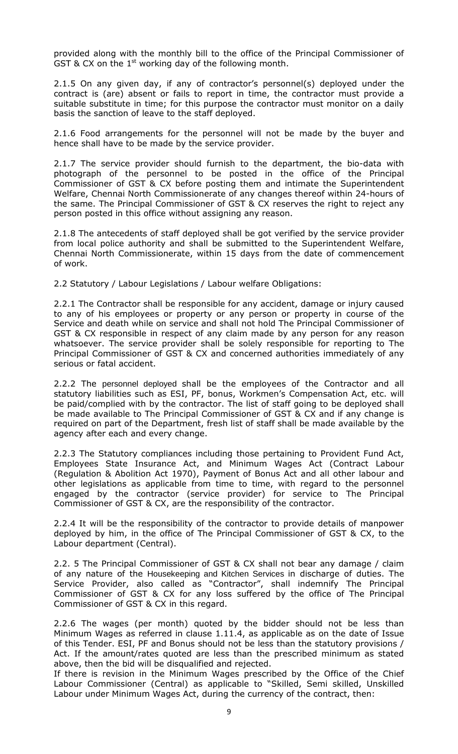provided along with the monthly bill to the office of the Principal Commissioner of GST & CX on the  $1<sup>st</sup>$  working day of the following month.

2.1.5 On any given day, if any of contractor's personnel(s) deployed under the contract is (are) absent or fails to report in time, the contractor must provide a suitable substitute in time; for this purpose the contractor must monitor on a daily basis the sanction of leave to the staff deployed.

2.1.6 Food arrangements for the personnel will not be made by the buyer and hence shall have to be made by the service provider.

2.1.7 The service provider should furnish to the department, the bio-data with photograph of the personnel to be posted in the office of the Principal Commissioner of GST & CX before posting them and intimate the Superintendent Welfare, Chennai North Commissionerate of any changes thereof within 24-hours of the same. The Principal Commissioner of GST & CX reserves the right to reject any person posted in this office without assigning any reason.

2.1.8 The antecedents of staff deployed shall be got verified by the service provider from local police authority and shall be submitted to the Superintendent Welfare, Chennai North Commissionerate, within 15 days from the date of commencement of work.

2.2 Statutory / Labour Legislations / Labour welfare Obligations:

2.2.1 The Contractor shall be responsible for any accident, damage or injury caused to any of his employees or property or any person or property in course of the Service and death while on service and shall not hold The Principal Commissioner of GST & CX responsible in respect of any claim made by any person for any reason whatsoever. The service provider shall be solely responsible for reporting to The Principal Commissioner of GST & CX and concerned authorities immediately of any serious or fatal accident.

2.2.2 The personnel deployed shall be the employees of the Contractor and all statutory liabilities such as ESI, PF, bonus, Workmen's Compensation Act, etc. will be paid/complied with by the contractor. The list of staff going to be deployed shall be made available to The Principal Commissioner of GST & CX and if any change is required on part of the Department, fresh list of staff shall be made available by the agency after each and every change.

2.2.3 The Statutory compliances including those pertaining to Provident Fund Act, Employees State Insurance Act, and Minimum Wages Act (Contract Labour (Regulation & Abolition Act 1970), Payment of Bonus Act and all other labour and other legislations as applicable from time to time, with regard to the personnel engaged by the contractor (service provider) for service to The Principal Commissioner of GST & CX, are the responsibility of the contractor.

2.2.4 It will be the responsibility of the contractor to provide details of manpower deployed by him, in the office of The Principal Commissioner of GST & CX, to the Labour department (Central).

2.2. 5 The Principal Commissioner of GST & CX shall not bear any damage / claim of any nature of the Housekeeping and Kitchen Services in discharge of duties. The Service Provider, also called as "Contractor", shall indemnify The Principal Commissioner of GST & CX for any loss suffered by the office of The Principal Commissioner of GST & CX in this regard.

2.2.6 The wages (per month) quoted by the bidder should not be less than Minimum Wages as referred in clause 1.11.4, as applicable as on the date of Issue of this Tender. ESI, PF and Bonus should not be less than the statutory provisions / Act. If the amount/rates quoted are less than the prescribed minimum as stated above, then the bid will be disqualified and rejected.

If there is revision in the Minimum Wages prescribed by the Office of the Chief Labour Commissioner (Central) as applicable to "Skilled, Semi skilled, Unskilled Labour under Minimum Wages Act, during the currency of the contract, then: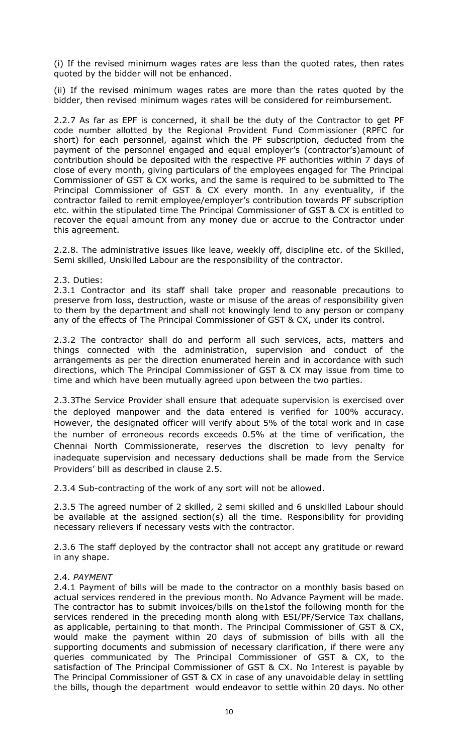(i) If the revised minimum wages rates are less than the quoted rates, then rates quoted by the bidder will not be enhanced.

(ii) If the revised minimum wages rates are more than the rates quoted by the bidder, then revised minimum wages rates will be considered for reimbursement.

2.2.7 As far as EPF is concerned, it shall be the duty of the Contractor to get PF code number allotted by the Regional Provident Fund Commissioner (RPFC for short) for each personnel, against which the PF subscription, deducted from the payment of the personnel engaged and equal employer's (contractor's)amount of contribution should be deposited with the respective PF authorities within 7 days of close of every month, giving particulars of the employees engaged for The Principal Commissioner of GST & CX works, and the same is required to be submitted to The Principal Commissioner of GST & CX every month. In any eventuality, if the contractor failed to remit employee/employer's contribution towards PF subscription etc. within the stipulated time The Principal Commissioner of GST & CX is entitled to recover the equal amount from any money due or accrue to the Contractor under this agreement.

2.2.8. The administrative issues like leave, weekly off, discipline etc. of the Skilled, Semi skilled, Unskilled Labour are the responsibility of the contractor.

2.3. Duties:

2.3.1 Contractor and its staff shall take proper and reasonable precautions to preserve from loss, destruction, waste or misuse of the areas of responsibility given to them by the department and shall not knowingly lend to any person or company any of the effects of The Principal Commissioner of GST & CX, under its control.

2.3.2 The contractor shall do and perform all such services, acts, matters and things connected with the administration, supervision and conduct of the arrangements as per the direction enumerated herein and in accordance with such directions, which The Principal Commissioner of GST & CX may issue from time to time and which have been mutually agreed upon between the two parties.

2.3.3The Service Provider shall ensure that adequate supervision is exercised over the deployed manpower and the data entered is verified for 100% accuracy. However, the designated officer will verify about 5% of the total work and in case the number of erroneous records exceeds 0.5% at the time of verification, the Chennai North Commissionerate, reserves the discretion to levy penalty for inadequate supervision and necessary deductions shall be made from the Service Providers' bill as described in clause 2.5.

2.3.4 Sub-contracting of the work of any sort will not be allowed.

2.3.5 The agreed number of 2 skilled, 2 semi skilled and 6 unskilled Labour should be available at the assigned section(s) all the time. Responsibility for providing necessary relievers if necessary vests with the contractor.

2.3.6 The staff deployed by the contractor shall not accept any gratitude or reward in any shape.

### 2.4. *PAYMENT*

2.4.1 Payment of bills will be made to the contractor on a monthly basis based on actual services rendered in the previous month. No Advance Payment will be made. The contractor has to submit invoices/bills on the1stof the following month for the services rendered in the preceding month along with ESI/PF/Service Tax challans, as applicable, pertaining to that month. The Principal Commissioner of GST & CX, would make the payment within 20 days of submission of bills with all the supporting documents and submission of necessary clarification, if there were any queries communicated by The Principal Commissioner of GST & CX, to the satisfaction of The Principal Commissioner of GST & CX. No Interest is payable by The Principal Commissioner of GST & CX in case of any unavoidable delay in settling the bills, though the department would endeavor to settle within 20 days. No other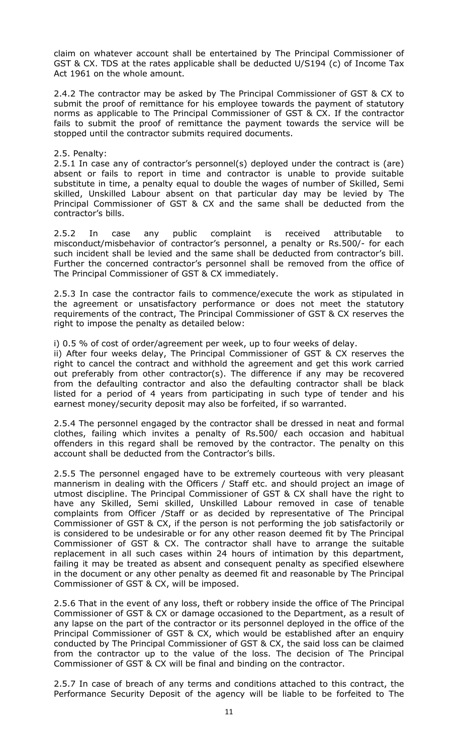claim on whatever account shall be entertained by The Principal Commissioner of GST & CX. TDS at the rates applicable shall be deducted U/S194 (c) of Income Tax Act 1961 on the whole amount.

2.4.2 The contractor may be asked by The Principal Commissioner of GST & CX to submit the proof of remittance for his employee towards the payment of statutory norms as applicable to The Principal Commissioner of GST & CX. If the contractor fails to submit the proof of remittance the payment towards the service will be stopped until the contractor submits required documents.

### 2.5. Penalty:

2.5.1 In case any of contractor's personnel(s) deployed under the contract is (are) absent or fails to report in time and contractor is unable to provide suitable substitute in time, a penalty equal to double the wages of number of Skilled, Semi skilled, Unskilled Labour absent on that particular day may be levied by The Principal Commissioner of GST & CX and the same shall be deducted from the contractor's bills.

2.5.2 In case any public complaint is received attributable to misconduct/misbehavior of contractor's personnel, a penalty or Rs.500/- for each such incident shall be levied and the same shall be deducted from contractor's bill. Further the concerned contractor's personnel shall be removed from the office of The Principal Commissioner of GST & CX immediately.

2.5.3 In case the contractor fails to commence/execute the work as stipulated in the agreement or unsatisfactory performance or does not meet the statutory requirements of the contract, The Principal Commissioner of GST & CX reserves the right to impose the penalty as detailed below:

i) 0.5 % of cost of order/agreement per week, up to four weeks of delay.

ii) After four weeks delay, The Principal Commissioner of GST & CX reserves the right to cancel the contract and withhold the agreement and get this work carried out preferably from other contractor(s). The difference if any may be recovered from the defaulting contractor and also the defaulting contractor shall be black listed for a period of 4 years from participating in such type of tender and his earnest money/security deposit may also be forfeited, if so warranted.

2.5.4 The personnel engaged by the contractor shall be dressed in neat and formal clothes, failing which invites a penalty of Rs.500/ each occasion and habitual offenders in this regard shall be removed by the contractor. The penalty on this account shall be deducted from the Contractor's bills.

2.5.5 The personnel engaged have to be extremely courteous with very pleasant mannerism in dealing with the Officers / Staff etc. and should project an image of utmost discipline. The Principal Commissioner of GST & CX shall have the right to have any Skilled, Semi skilled, Unskilled Labour removed in case of tenable complaints from Officer /Staff or as decided by representative of The Principal Commissioner of GST & CX, if the person is not performing the job satisfactorily or is considered to be undesirable or for any other reason deemed fit by The Principal Commissioner of GST & CX. The contractor shall have to arrange the suitable replacement in all such cases within 24 hours of intimation by this department, failing it may be treated as absent and consequent penalty as specified elsewhere in the document or any other penalty as deemed fit and reasonable by The Principal Commissioner of GST & CX, will be imposed.

2.5.6 That in the event of any loss, theft or robbery inside the office of The Principal Commissioner of GST & CX or damage occasioned to the Department, as a result of any lapse on the part of the contractor or its personnel deployed in the office of the Principal Commissioner of GST & CX, which would be established after an enquiry conducted by The Principal Commissioner of GST & CX, the said loss can be claimed from the contractor up to the value of the loss. The decision of The Principal Commissioner of GST & CX will be final and binding on the contractor.

2.5.7 In case of breach of any terms and conditions attached to this contract, the Performance Security Deposit of the agency will be liable to be forfeited to The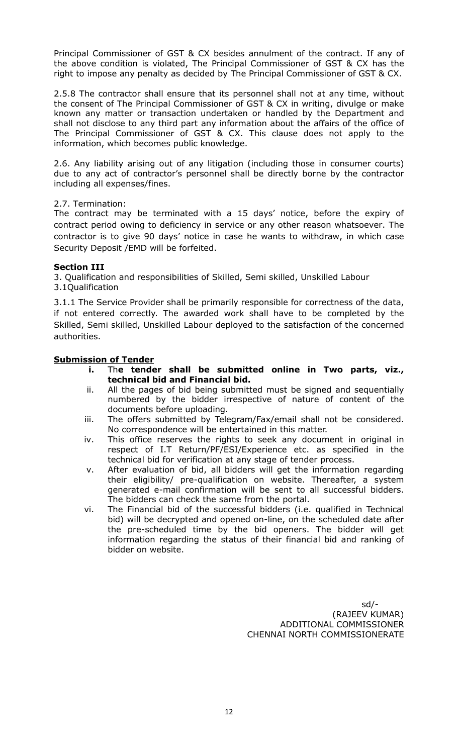Principal Commissioner of GST & CX besides annulment of the contract. If any of the above condition is violated, The Principal Commissioner of GST & CX has the right to impose any penalty as decided by The Principal Commissioner of GST & CX.

2.5.8 The contractor shall ensure that its personnel shall not at any time, without the consent of The Principal Commissioner of GST & CX in writing, divulge or make known any matter or transaction undertaken or handled by the Department and shall not disclose to any third part any information about the affairs of the office of The Principal Commissioner of GST & CX. This clause does not apply to the information, which becomes public knowledge.

2.6. Any liability arising out of any litigation (including those in consumer courts) due to any act of contractor's personnel shall be directly borne by the contractor including all expenses/fines.

# 2.7. Termination:

The contract may be terminated with a 15 days' notice, before the expiry of contract period owing to deficiency in service or any other reason whatsoever. The contractor is to give 90 days' notice in case he wants to withdraw, in which case Security Deposit /EMD will be forfeited.

# **Section III**

3. Qualification and responsibilities of Skilled, Semi skilled, Unskilled Labour 3.1Qualification

3.1.1 The Service Provider shall be primarily responsible for correctness of the data, if not entered correctly. The awarded work shall have to be completed by the Skilled, Semi skilled, Unskilled Labour deployed to the satisfaction of the concerned authorities.

# **Submission of Tender**

- **i.** Th**e tender shall be submitted online in Two parts, viz., technical bid and Financial bid.**
- ii. All the pages of bid being submitted must be signed and sequentially numbered by the bidder irrespective of nature of content of the documents before uploading.
- iii. The offers submitted by Telegram/Fax/email shall not be considered. No correspondence will be entertained in this matter.
- iv. This office reserves the rights to seek any document in original in respect of I.T Return/PF/ESI/Experience etc. as specified in the technical bid for verification at any stage of tender process.
- v. After evaluation of bid, all bidders will get the information regarding their eligibility/ pre-qualification on website. Thereafter, a system generated e-mail confirmation will be sent to all successful bidders. The bidders can check the same from the portal.
- vi. The Financial bid of the successful bidders (i.e. qualified in Technical bid) will be decrypted and opened on-line, on the scheduled date after the pre-scheduled time by the bid openers. The bidder will get information regarding the status of their financial bid and ranking of bidder on website.

 sd/- (RAJEEV KUMAR) ADDITIONAL COMMISSIONER CHENNAI NORTH COMMISSIONERATE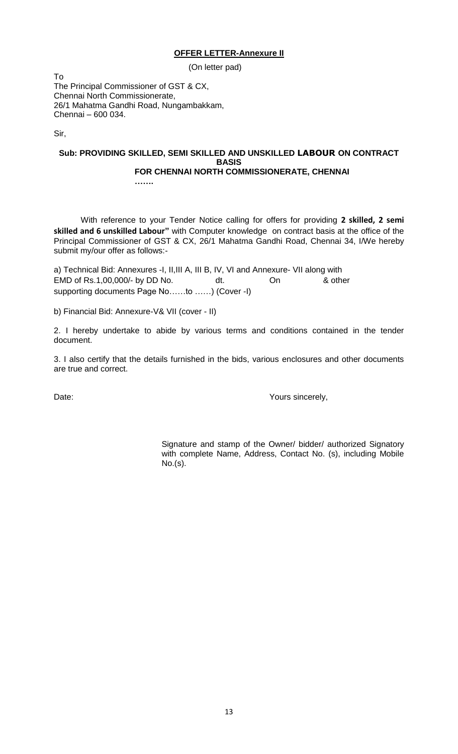#### **OFFER LETTER-Annexure II**

(On letter pad)

To The Principal Commissioner of GST & CX, Chennai North Commissionerate, 26/1 Mahatma Gandhi Road, Nungambakkam, Chennai – 600 034.

Sir,

#### **Sub: PROVIDING SKILLED, SEMI SKILLED AND UNSKILLED LABOUR ON CONTRACT BASIS FOR CHENNAI NORTH COMMISSIONERATE, CHENNAI …….**

With reference to your Tender Notice calling for offers for providing **2 skilled, 2 semi skilled and 6 unskilled Labour"** with Computer knowledge on contract basis at the office of the Principal Commissioner of GST & CX, 26/1 Mahatma Gandhi Road, Chennai 34, I/We hereby submit my/our offer as follows:-

a) Technical Bid: Annexures -I, II, III A, III B, IV, VI and Annexure- VII along with EMD of Rs.1,00,000/- by DD No. dt. On & other supporting documents Page No……to ……) (Cover -I)

b) Financial Bid: Annexure-V& VII (cover - II)

2. I hereby undertake to abide by various terms and conditions contained in the tender document.

3. I also certify that the details furnished in the bids, various enclosures and other documents are true and correct.

Date:  $\blacksquare$ 

Signature and stamp of the Owner/ bidder/ authorized Signatory with complete Name, Address, Contact No. (s), including Mobile No.(s).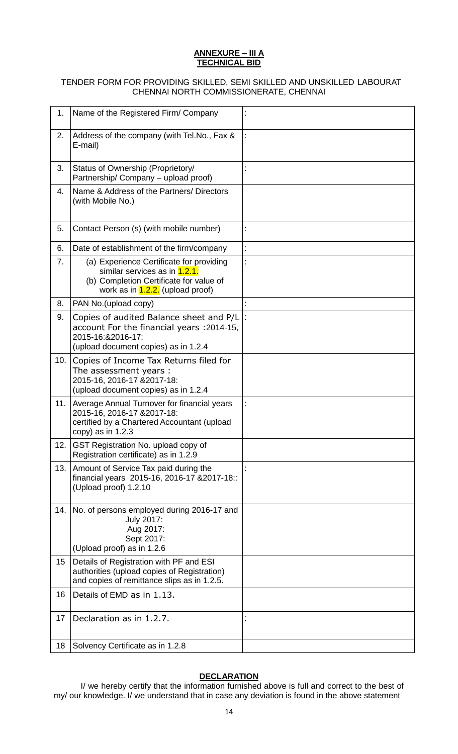#### **ANNEXURE – III A TECHNICAL BID**

## TENDER FORM FOR PROVIDING SKILLED, SEMI SKILLED AND UNSKILLED LABOURAT CHENNAI NORTH COMMISSIONERATE, CHENNAI

| 1.  | Name of the Registered Firm/ Company                                                                                                                        |  |
|-----|-------------------------------------------------------------------------------------------------------------------------------------------------------------|--|
| 2.  | Address of the company (with Tel.No., Fax &<br>E-mail)                                                                                                      |  |
| 3.  | Status of Ownership (Proprietory/<br>Partnership/ Company - upload proof)                                                                                   |  |
| 4.  | Name & Address of the Partners/ Directors<br>(with Mobile No.)                                                                                              |  |
| 5.  | Contact Person (s) (with mobile number)                                                                                                                     |  |
| 6.  | Date of establishment of the firm/company                                                                                                                   |  |
| 7.  | (a) Experience Certificate for providing<br>similar services as in 1.2.1.<br>(b) Completion Certificate for value of<br>work as in $1.2.2$ . (upload proof) |  |
| 8.  | PAN No.(upload copy)                                                                                                                                        |  |
| 9.  | Copies of audited Balance sheet and P/L<br>account For the financial years : 2014-15,<br>2015-16:&2016-17:<br>(upload document copies) as in 1.2.4          |  |
| 10. | Copies of Income Tax Returns filed for<br>The assessment years :<br>2015-16, 2016-17 & 2017-18:<br>(upload document copies) as in 1.2.4                     |  |
| 11. | Average Annual Turnover for financial years<br>2015-16, 2016-17 & 2017-18:<br>certified by a Chartered Accountant (upload<br>copy) as in $1.2.3$            |  |
| 12. | GST Registration No. upload copy of<br>Registration certificate) as in 1.2.9                                                                                |  |
| 13. | Amount of Service Tax paid during the<br>financial years 2015-16, 2016-17 & 2017-18::<br>(Upload proof) 1.2.10                                              |  |
| 14. | No. of persons employed during 2016-17 and<br><b>July 2017:</b><br>Aug 2017:<br>Sept 2017:<br>(Upload proof) as in 1.2.6                                    |  |
| 15  | Details of Registration with PF and ESI<br>authorities (upload copies of Registration)<br>and copies of remittance slips as in 1.2.5.                       |  |
| 16  | Details of EMD as in 1.13.                                                                                                                                  |  |
| 17  | Declaration as in 1.2.7.                                                                                                                                    |  |
| 18  | Solvency Certificate as in 1.2.8                                                                                                                            |  |

### **DECLARATION**

I/ we hereby certify that the information furnished above is full and correct to the best of my/ our knowledge. I/ we understand that in case any deviation is found in the above statement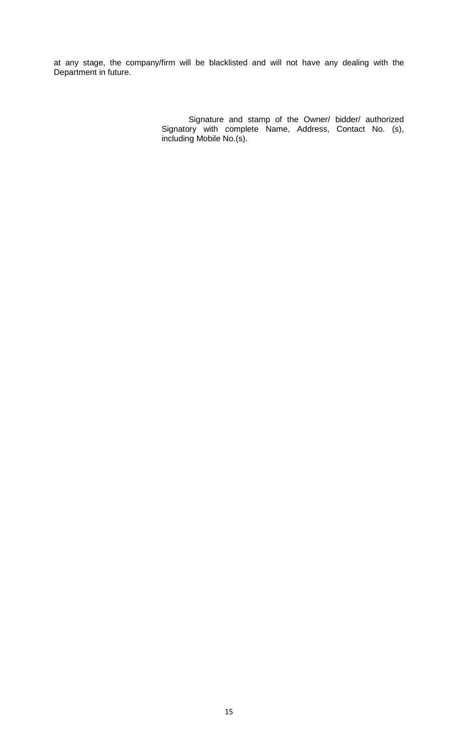at any stage, the company/firm will be blacklisted and will not have any dealing with the Department in future.

> Signature and stamp of the Owner/ bidder/ authorized Signatory with complete Name, Address, Contact No. (s), including Mobile No.(s).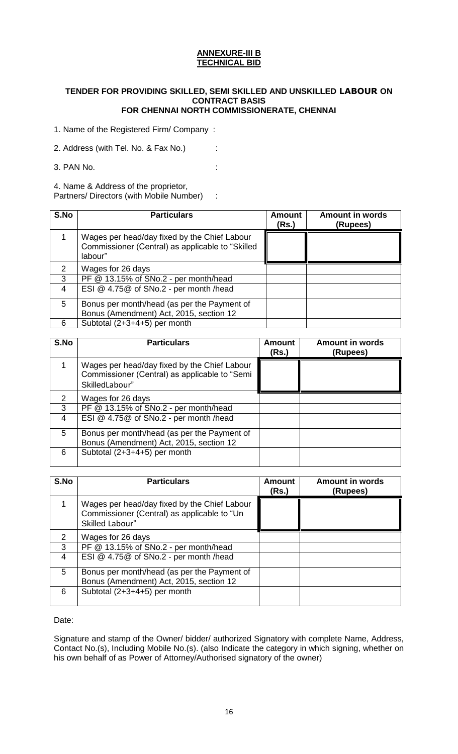## **ANNEXURE-III B TECHNICAL BID**

#### **TENDER FOR PROVIDING SKILLED, SEMI SKILLED AND UNSKILLED LABOUR ON CONTRACT BASIS FOR CHENNAI NORTH COMMISSIONERATE, CHENNAI**

1. Name of the Registered Firm/ Company :

2. Address (with Tel. No. & Fax No.) :

3. PAN No. :

4. Name & Address of the proprietor,

Partners/ Directors (with Mobile Number) :

| S.No | <b>Particulars</b>                                                                                          | Amount<br>(Rs.) | <b>Amount in words</b><br>(Rupees) |
|------|-------------------------------------------------------------------------------------------------------------|-----------------|------------------------------------|
| 1    | Wages per head/day fixed by the Chief Labour<br>Commissioner (Central) as applicable to "Skilled<br>labour" |                 |                                    |
| 2    | Wages for 26 days                                                                                           |                 |                                    |
| 3    | PF @ 13.15% of SNo.2 - per month/head                                                                       |                 |                                    |
| 4    | ESI @ 4.75@ of SNo.2 - per month /head                                                                      |                 |                                    |
| 5    | Bonus per month/head (as per the Payment of<br>Bonus (Amendment) Act, 2015, section 12                      |                 |                                    |
| 6    | Subtotal $(2+3+4+5)$ per month                                                                              |                 |                                    |

| S.No | <b>Particulars</b>                                                                                              | <b>Amount</b><br>(Rs.) | <b>Amount in words</b><br>(Rupees) |
|------|-----------------------------------------------------------------------------------------------------------------|------------------------|------------------------------------|
|      | Wages per head/day fixed by the Chief Labour<br>Commissioner (Central) as applicable to "Semi<br>SkilledLabour" |                        |                                    |
| 2    | Wages for 26 days                                                                                               |                        |                                    |
| 3    | PF @ 13.15% of SNo.2 - per month/head                                                                           |                        |                                    |
| 4    | ESI @ 4.75@ of SNo.2 - per month /head                                                                          |                        |                                    |
| 5    | Bonus per month/head (as per the Payment of<br>Bonus (Amendment) Act, 2015, section 12                          |                        |                                    |
| 6    | Subtotal (2+3+4+5) per month                                                                                    |                        |                                    |

| S.No | <b>Particulars</b>                                                                                             | <b>Amount</b><br>(Rs.) | <b>Amount in words</b><br>(Rupees) |
|------|----------------------------------------------------------------------------------------------------------------|------------------------|------------------------------------|
|      | Wages per head/day fixed by the Chief Labour<br>Commissioner (Central) as applicable to "Un<br>Skilled Labour" |                        |                                    |
| 2    | Wages for 26 days                                                                                              |                        |                                    |
| 3    | PF @ 13.15% of SNo.2 - per month/head                                                                          |                        |                                    |
| 4    | ESI @ 4.75@ of SNo.2 - per month /head                                                                         |                        |                                    |
| 5    | Bonus per month/head (as per the Payment of<br>Bonus (Amendment) Act, 2015, section 12                         |                        |                                    |
| 6    | Subtotal (2+3+4+5) per month                                                                                   |                        |                                    |

Date:

Signature and stamp of the Owner/ bidder/ authorized Signatory with complete Name, Address, Contact No.(s), Including Mobile No.(s). (also Indicate the category in which signing, whether on his own behalf of as Power of Attorney/Authorised signatory of the owner)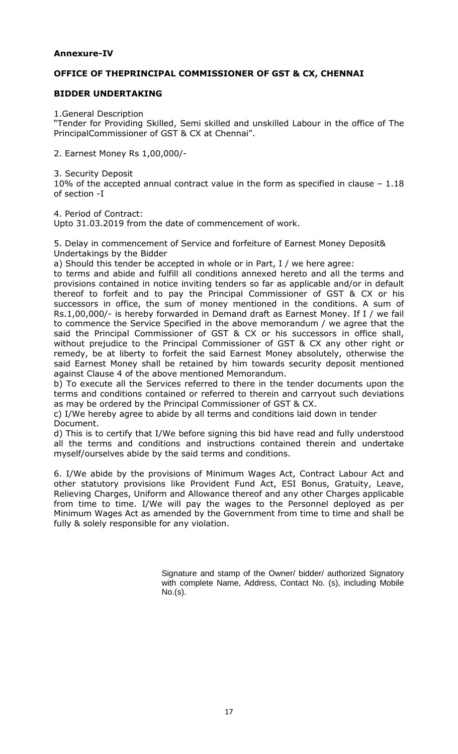# **Annexure-IV**

# **OFFICE OF THEPRINCIPAL COMMISSIONER OF GST & CX, CHENNAI**

## **BIDDER UNDERTAKING**

1.General Description

"Tender for Providing Skilled, Semi skilled and unskilled Labour in the office of The PrincipalCommissioner of GST & CX at Chennai".

2. Earnest Money Rs 1,00,000/-

3. Security Deposit 10% of the accepted annual contract value in the form as specified in clause – 1.18 of section -I

4. Period of Contract:

Upto 31.03.2019 from the date of commencement of work.

5. Delay in commencement of Service and forfeiture of Earnest Money Deposit& Undertakings by the Bidder

a) Should this tender be accepted in whole or in Part, I / we here agree:

to terms and abide and fulfill all conditions annexed hereto and all the terms and provisions contained in notice inviting tenders so far as applicable and/or in default thereof to forfeit and to pay the Principal Commissioner of GST & CX or his successors in office, the sum of money mentioned in the conditions. A sum of Rs.1,00,000/- is hereby forwarded in Demand draft as Earnest Money. If I / we fail to commence the Service Specified in the above memorandum / we agree that the said the Principal Commissioner of GST & CX or his successors in office shall, without prejudice to the Principal Commissioner of GST & CX any other right or remedy, be at liberty to forfeit the said Earnest Money absolutely, otherwise the said Earnest Money shall be retained by him towards security deposit mentioned against Clause 4 of the above mentioned Memorandum.

b) To execute all the Services referred to there in the tender documents upon the terms and conditions contained or referred to therein and carryout such deviations as may be ordered by the Principal Commissioner of GST & CX.

c) I/We hereby agree to abide by all terms and conditions laid down in tender Document.

d) This is to certify that I/We before signing this bid have read and fully understood all the terms and conditions and instructions contained therein and undertake myself/ourselves abide by the said terms and conditions.

6. I/We abide by the provisions of Minimum Wages Act, Contract Labour Act and other statutory provisions like Provident Fund Act, ESI Bonus, Gratuity, Leave, Relieving Charges, Uniform and Allowance thereof and any other Charges applicable from time to time. I/We will pay the wages to the Personnel deployed as per Minimum Wages Act as amended by the Government from time to time and shall be fully & solely responsible for any violation.

> Signature and stamp of the Owner/ bidder/ authorized Signatory with complete Name, Address, Contact No. (s), including Mobile No.(s).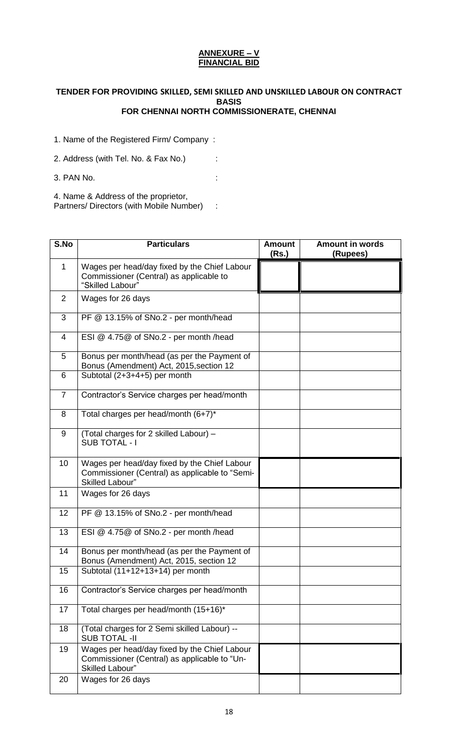## **ANNEXURE – V FINANCIAL BID**

#### **TENDER FOR PROVIDING SKILLED, SEMI SKILLED AND UNSKILLED LABOUR ON CONTRACT BASIS FOR CHENNAI NORTH COMMISSIONERATE, CHENNAI**

1. Name of the Registered Firm/ Company :

2. Address (with Tel. No. & Fax No.) :

3. PAN No. :

4. Name & Address of the proprietor,

Partners/ Directors (with Mobile Number) :

| S.No            | <b>Particulars</b>                                                                                                | <b>Amount</b><br>(Rs.) | <b>Amount in words</b><br>(Rupees) |
|-----------------|-------------------------------------------------------------------------------------------------------------------|------------------------|------------------------------------|
| 1               | Wages per head/day fixed by the Chief Labour<br>Commissioner (Central) as applicable to<br>"Skilled Labour"       |                        |                                    |
| 2               | Wages for 26 days                                                                                                 |                        |                                    |
| 3               | PF @ 13.15% of SNo.2 - per month/head                                                                             |                        |                                    |
| 4               | ESI @ 4.75@ of SNo.2 - per month /head                                                                            |                        |                                    |
| 5               | Bonus per month/head (as per the Payment of<br>Bonus (Amendment) Act, 2015, section 12                            |                        |                                    |
| 6               | Subtotal (2+3+4+5) per month                                                                                      |                        |                                    |
| $\overline{7}$  | Contractor's Service charges per head/month                                                                       |                        |                                    |
| 8               | Total charges per head/month (6+7)*                                                                               |                        |                                    |
| 9               | (Total charges for 2 skilled Labour) -<br><b>SUB TOTAL - I</b>                                                    |                        |                                    |
| 10 <sup>°</sup> | Wages per head/day fixed by the Chief Labour<br>Commissioner (Central) as applicable to "Semi-<br>Skilled Labour" |                        |                                    |
| 11              | Wages for 26 days                                                                                                 |                        |                                    |
| 12              | PF @ 13.15% of SNo.2 - per month/head                                                                             |                        |                                    |
| 13              | ESI @ 4.75@ of SNo.2 - per month /head                                                                            |                        |                                    |
| 14              | Bonus per month/head (as per the Payment of<br>Bonus (Amendment) Act, 2015, section 12                            |                        |                                    |
| 15              | Subtotal (11+12+13+14) per month                                                                                  |                        |                                    |
| 16              | Contractor's Service charges per head/month                                                                       |                        |                                    |
| 17              | Total charges per head/month (15+16)*                                                                             |                        |                                    |
| 18              | (Total charges for 2 Semi skilled Labour) --<br><b>SUB TOTAL -II</b>                                              |                        |                                    |
| 19              | Wages per head/day fixed by the Chief Labour<br>Commissioner (Central) as applicable to "Un-<br>Skilled Labour"   |                        |                                    |
| 20              | Wages for 26 days                                                                                                 |                        |                                    |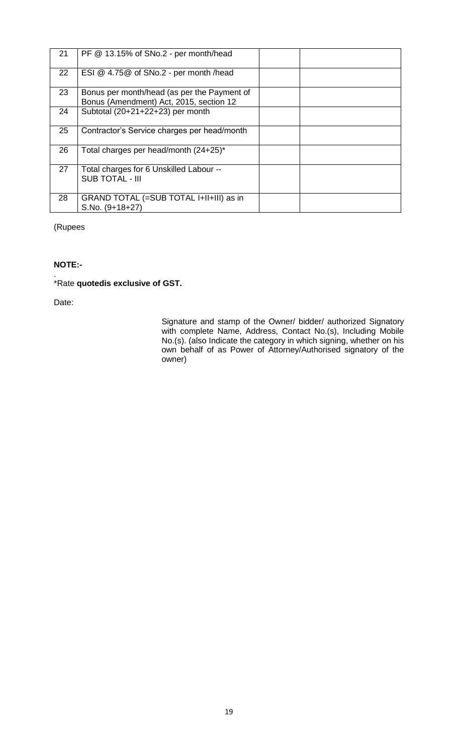| 21 | PF @ 13.15% of SNo.2 - per month/head                                                  |  |
|----|----------------------------------------------------------------------------------------|--|
| 22 | ESI @ 4.75@ of SNo.2 - per month /head                                                 |  |
| 23 | Bonus per month/head (as per the Payment of<br>Bonus (Amendment) Act, 2015, section 12 |  |
| 24 | Subtotal (20+21+22+23) per month                                                       |  |
| 25 | Contractor's Service charges per head/month                                            |  |
| 26 | Total charges per head/month (24+25)*                                                  |  |
| 27 | Total charges for 6 Unskilled Labour --<br><b>SUB TOTAL - III</b>                      |  |
| 28 | GRAND TOTAL (=SUB TOTAL I+II+III) as in<br>S.No. (9+18+27)                             |  |

(Rupees

# **NOTE:-**

. \*Rate **quotedis exclusive of GST.**

Date:

Signature and stamp of the Owner/ bidder/ authorized Signatory with complete Name, Address, Contact No.(s), Including Mobile No.(s). (also Indicate the category in which signing, whether on his own behalf of as Power of Attorney/Authorised signatory of the owner)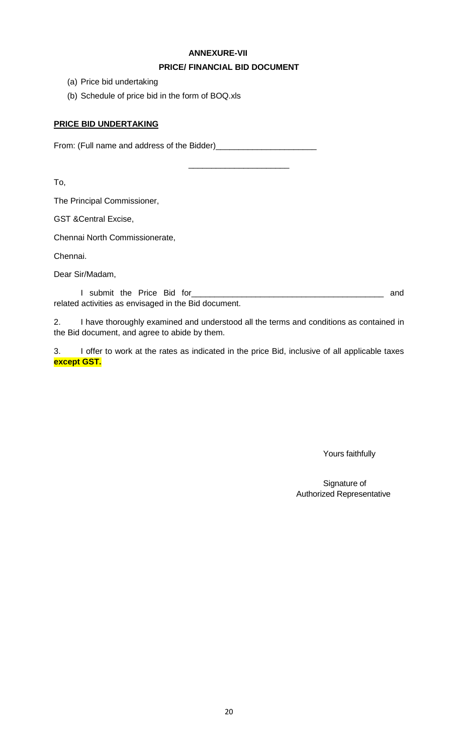## **ANNEXURE-VII**

# **PRICE/ FINANCIAL BID DOCUMENT**

\_\_\_\_\_\_\_\_\_\_\_\_\_\_\_\_\_\_\_\_\_\_

- (a) Price bid undertaking
- (b) Schedule of price bid in the form of BOQ.xls

## **PRICE BID UNDERTAKING**

From: (Full name and address of the Bidder)\_\_\_\_\_\_\_\_\_\_\_\_\_\_\_\_\_\_\_\_\_\_

To,

The Principal Commissioner,

GST &Central Excise,

Chennai North Commissionerate,

Chennai.

Dear Sir/Madam,

I submit the Price Bid for\_\_\_\_\_\_\_\_\_\_\_\_\_\_\_\_\_\_\_\_\_\_\_\_\_\_\_\_\_\_\_\_\_\_\_\_\_\_\_\_\_\_ and related activities as envisaged in the Bid document.

2. I have thoroughly examined and understood all the terms and conditions as contained in the Bid document, and agree to abide by them.

3. I offer to work at the rates as indicated in the price Bid, inclusive of all applicable taxes **except GST.**

Yours faithfully

Signature of Authorized Representative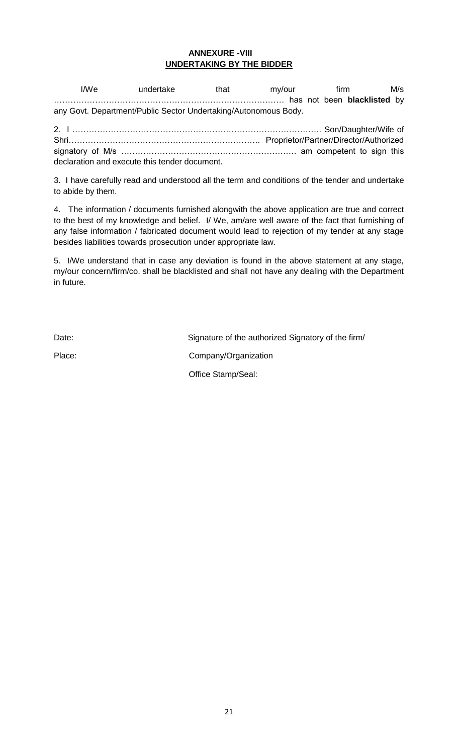### **ANNEXURE -VIII UNDERTAKING BY THE BIDDER**

I/We undertake that my/our firm M/s ………………………………………………………………………… has not been **blacklisted** by any Govt. Department/Public Sector Undertaking/Autonomous Body.

2. I ………………………………………………………………………………. Son/Daughter/Wife of Shri……………………………………………………………. Proprietor/Partner/Director/Authorized signatory of M/s ………………………………………………………. am competent to sign this declaration and execute this tender document.

3. I have carefully read and understood all the term and conditions of the tender and undertake to abide by them.

4. The information / documents furnished alongwith the above application are true and correct to the best of my knowledge and belief. I/ We, am/are well aware of the fact that furnishing of any false information / fabricated document would lead to rejection of my tender at any stage besides liabilities towards prosecution under appropriate law.

5. I/We understand that in case any deviation is found in the above statement at any stage, my/our concern/firm/co. shall be blacklisted and shall not have any dealing with the Department in future.

Date: Date: Signature of the authorized Signatory of the firm/ Place: Company/Organization Office Stamp/Seal: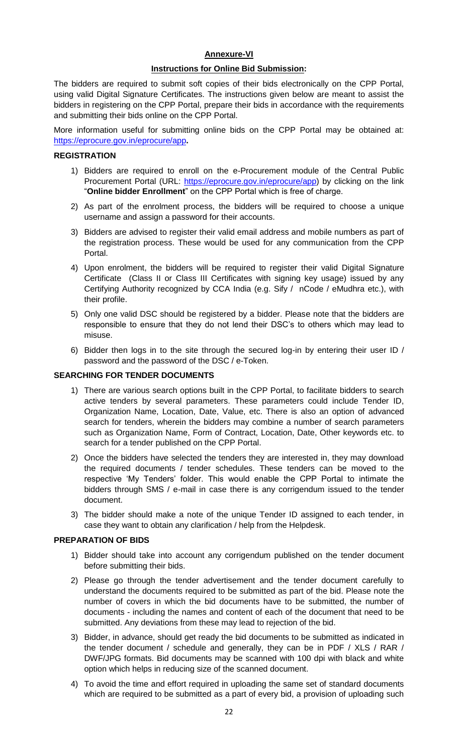# **Annexure-VI**

### **Instructions for Online Bid Submission:**

The bidders are required to submit soft copies of their bids electronically on the CPP Portal, using valid Digital Signature Certificates. The instructions given below are meant to assist the bidders in registering on the CPP Portal, prepare their bids in accordance with the requirements and submitting their bids online on the CPP Portal.

More information useful for submitting online bids on the CPP Portal may be obtained at: <https://eprocure.gov.in/eprocure/app>**.**

#### **REGISTRATION**

- 1) Bidders are required to enroll on the e-Procurement module of the Central Public Procurement Portal (URL: [https://eprocure.gov.in/eprocure/app\)](https://eprocure.gov.in/eprocure/app) by clicking on the link "**Online bidder Enrollment**" on the CPP Portal which is free of charge.
- 2) As part of the enrolment process, the bidders will be required to choose a unique username and assign a password for their accounts.
- 3) Bidders are advised to register their valid email address and mobile numbers as part of the registration process. These would be used for any communication from the CPP Portal.
- 4) Upon enrolment, the bidders will be required to register their valid Digital Signature Certificate (Class II or Class III Certificates with signing key usage) issued by any Certifying Authority recognized by CCA India (e.g. Sify / nCode / eMudhra etc.), with their profile.
- 5) Only one valid DSC should be registered by a bidder. Please note that the bidders are responsible to ensure that they do not lend their DSC"s to others which may lead to misuse.
- 6) Bidder then logs in to the site through the secured log-in by entering their user ID / password and the password of the DSC / e-Token.

#### **SEARCHING FOR TENDER DOCUMENTS**

- 1) There are various search options built in the CPP Portal, to facilitate bidders to search active tenders by several parameters. These parameters could include Tender ID, Organization Name, Location, Date, Value, etc. There is also an option of advanced search for tenders, wherein the bidders may combine a number of search parameters such as Organization Name, Form of Contract, Location, Date, Other keywords etc. to search for a tender published on the CPP Portal.
- 2) Once the bidders have selected the tenders they are interested in, they may download the required documents / tender schedules. These tenders can be moved to the respective "My Tenders" folder. This would enable the CPP Portal to intimate the bidders through SMS / e-mail in case there is any corrigendum issued to the tender document.
- 3) The bidder should make a note of the unique Tender ID assigned to each tender, in case they want to obtain any clarification / help from the Helpdesk.

#### **PREPARATION OF BIDS**

- 1) Bidder should take into account any corrigendum published on the tender document before submitting their bids.
- 2) Please go through the tender advertisement and the tender document carefully to understand the documents required to be submitted as part of the bid. Please note the number of covers in which the bid documents have to be submitted, the number of documents - including the names and content of each of the document that need to be submitted. Any deviations from these may lead to rejection of the bid.
- 3) Bidder, in advance, should get ready the bid documents to be submitted as indicated in the tender document / schedule and generally, they can be in PDF / XLS / RAR / DWF/JPG formats. Bid documents may be scanned with 100 dpi with black and white option which helps in reducing size of the scanned document.
- 4) To avoid the time and effort required in uploading the same set of standard documents which are required to be submitted as a part of every bid, a provision of uploading such